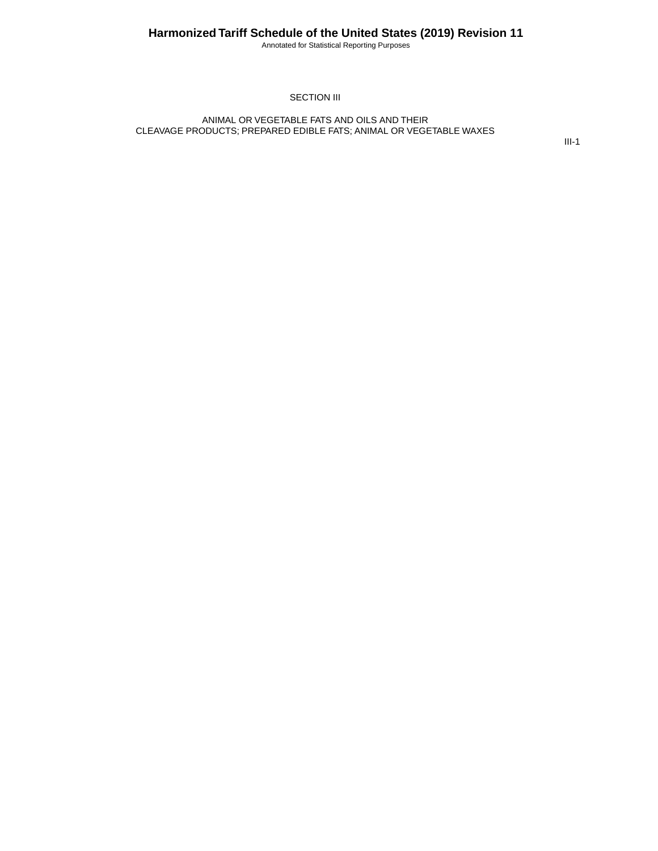Annotated for Statistical Reporting Purposes

#### SECTION III

#### ANIMAL OR VEGETABLE FATS AND OILS AND THEIR CLEAVAGE PRODUCTS; PREPARED EDIBLE FATS; ANIMAL OR VEGETABLE WAXES

III-1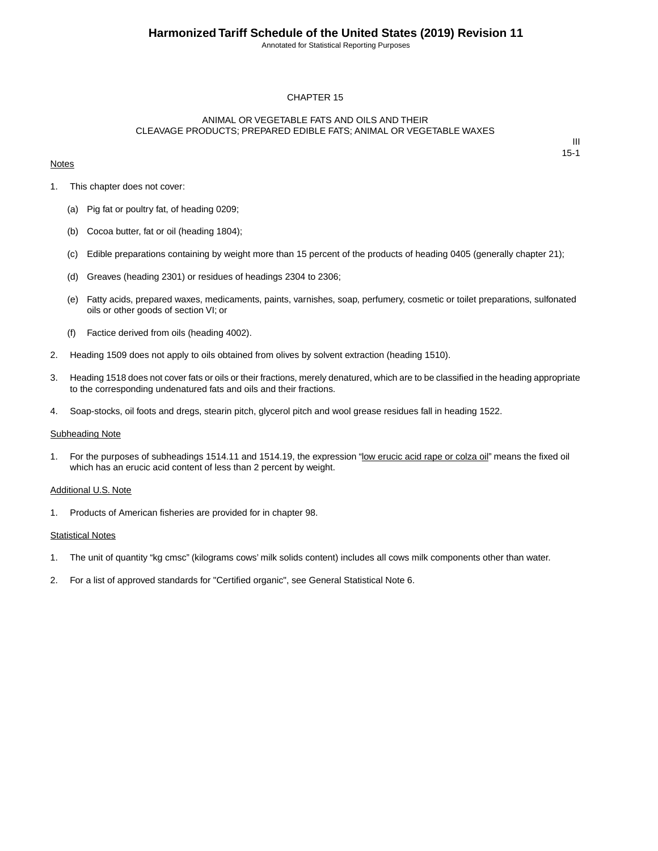Annotated for Statistical Reporting Purposes

#### CHAPTER 15

#### ANIMAL OR VEGETABLE FATS AND OILS AND THEIR CLEAVAGE PRODUCTS; PREPARED EDIBLE FATS; ANIMAL OR VEGETABLE WAXES

#### **Notes**

III 15-1

- 1. This chapter does not cover:
	- (a) Pig fat or poultry fat, of heading 0209;
	- (b) Cocoa butter, fat or oil (heading 1804);
	- (c) Edible preparations containing by weight more than 15 percent of the products of heading 0405 (generally chapter 21);
	- (d) Greaves (heading 2301) or residues of headings 2304 to 2306;
	- (e) Fatty acids, prepared waxes, medicaments, paints, varnishes, soap, perfumery, cosmetic or toilet preparations, sulfonated oils or other goods of section VI; or
	- (f) Factice derived from oils (heading 4002).
- 2. Heading 1509 does not apply to oils obtained from olives by solvent extraction (heading 1510).
- 3. Heading 1518 does not cover fats or oils or their fractions, merely denatured, which are to be classified in the heading appropriate to the corresponding undenatured fats and oils and their fractions.
- 4. Soap-stocks, oil foots and dregs, stearin pitch, glycerol pitch and wool grease residues fall in heading 1522.

#### Subheading Note

1. For the purposes of subheadings 1514.11 and 1514.19, the expression "low erucic acid rape or colza oil" means the fixed oil which has an erucic acid content of less than 2 percent by weight.

#### Additional U.S. Note

1. Products of American fisheries are provided for in chapter 98.

#### **Statistical Notes**

- 1. The unit of quantity "kg cmsc" (kilograms cows' milk solids content) includes all cows milk components other than water.
- 2. For a list of approved standards for "Certified organic", see General Statistical Note 6.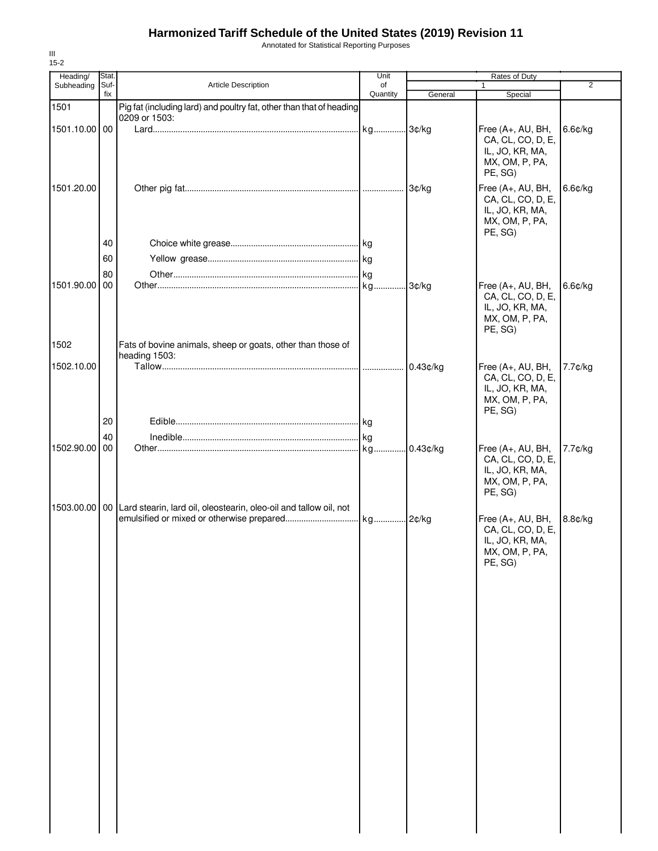Annotated for Statistical Reporting Purposes

|               |                                                                                              |                                                                                                                                                                                                           |                                                                                                                   |                                                                                        | 2                                                                                                       |
|---------------|----------------------------------------------------------------------------------------------|-----------------------------------------------------------------------------------------------------------------------------------------------------------------------------------------------------------|-------------------------------------------------------------------------------------------------------------------|----------------------------------------------------------------------------------------|---------------------------------------------------------------------------------------------------------|
|               |                                                                                              |                                                                                                                                                                                                           |                                                                                                                   |                                                                                        |                                                                                                         |
| 1501.10.00 00 |                                                                                              |                                                                                                                                                                                                           |                                                                                                                   | Free (A+, AU, BH,<br>CA, CL, CO, D, E,<br>IL, JO, KR, MA,<br>MX, OM, P, PA,<br>PE, SG) | 6.6¢/kg                                                                                                 |
| 1501.20.00    |                                                                                              |                                                                                                                                                                                                           |                                                                                                                   | Free (A+, AU, BH,<br>CA, CL, CO, D, E,<br>IL, JO, KR, MA,<br>MX, OM, P, PA,            | 6.6¢/kg                                                                                                 |
| 40            |                                                                                              |                                                                                                                                                                                                           |                                                                                                                   |                                                                                        |                                                                                                         |
|               |                                                                                              |                                                                                                                                                                                                           |                                                                                                                   |                                                                                        |                                                                                                         |
|               |                                                                                              |                                                                                                                                                                                                           |                                                                                                                   |                                                                                        |                                                                                                         |
|               |                                                                                              |                                                                                                                                                                                                           |                                                                                                                   |                                                                                        | 6.6¢/kg                                                                                                 |
|               |                                                                                              |                                                                                                                                                                                                           |                                                                                                                   | CA, CL, CO, D, E,<br>IL, JO, KR, MA,<br>MX, OM, P, PA,<br>PE, SG)                      |                                                                                                         |
|               |                                                                                              |                                                                                                                                                                                                           |                                                                                                                   |                                                                                        |                                                                                                         |
|               |                                                                                              |                                                                                                                                                                                                           |                                                                                                                   |                                                                                        | 7.7¢/kg                                                                                                 |
|               |                                                                                              |                                                                                                                                                                                                           |                                                                                                                   | CA, CL, CO, D, E,<br>IL, JO, KR, MA,<br>MX, OM, P, PA,<br>PE, SG)                      |                                                                                                         |
|               |                                                                                              |                                                                                                                                                                                                           |                                                                                                                   |                                                                                        |                                                                                                         |
| 40            |                                                                                              |                                                                                                                                                                                                           |                                                                                                                   |                                                                                        |                                                                                                         |
|               |                                                                                              |                                                                                                                                                                                                           |                                                                                                                   | CA, CL, CO, D, E,<br>IL, JO, KR, MA,<br>MX, OM, P, PA,<br>PE, SG)                      | 7.7¢/kg                                                                                                 |
|               |                                                                                              |                                                                                                                                                                                                           |                                                                                                                   |                                                                                        |                                                                                                         |
|               |                                                                                              |                                                                                                                                                                                                           |                                                                                                                   | Free (A+, AU, BH,<br>CA, CL, CO, D, E,<br>IL, JO, KR, MA,<br>MX, OM, P, PA,<br>PE, SG) | 8.8¢/kg                                                                                                 |
|               | Stat.<br>Suf-<br>fix<br>60<br>80<br>1501.90.00<br>00<br>1502.10.00<br>20<br>1502.90.00<br>00 | Article Description<br>0209 or 1503:<br>Fats of bovine animals, sheep or goats, other than those of<br>heading 1503:<br>1503.00.00   00 Lard stearin, lard oil, oleostearin, oleo-oil and tallow oil, not | Unit<br>of<br>Quantity<br>Pig fat (including lard) and poultry fat, other than that of heading<br>kg<br>kg.<br>kg | General<br>kg 3¢/kg<br>3¢/kg<br>3¢/kg<br>$0.43$ ¢/kg<br>0.43¢/kg                       | Rates of Duty<br>1<br>Special<br>PE, SG)<br>Free (A+, AU, BH,<br>Free (A+, AU, BH,<br>Free (A+, AU, BH, |

III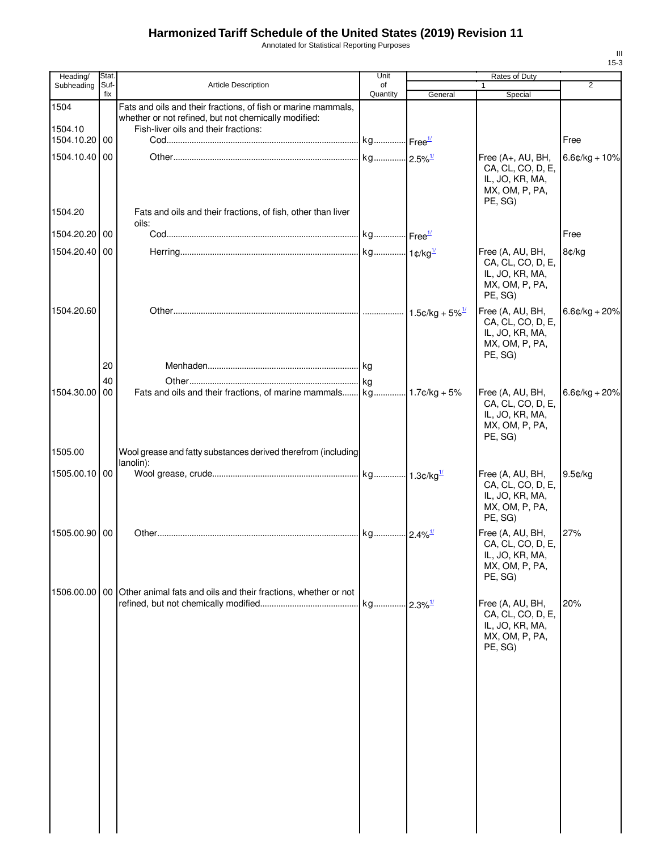Annotated for Statistical Reporting Purposes

| Heading/        | Stat.       |                                                                                                                                                               | Unit           |         | Rates of Duty                                                                          |                  |
|-----------------|-------------|---------------------------------------------------------------------------------------------------------------------------------------------------------------|----------------|---------|----------------------------------------------------------------------------------------|------------------|
| Subheading      | Suf-<br>fix | <b>Article Description</b>                                                                                                                                    | of<br>Quantity | General | $\mathbf{1}$<br>Special                                                                | $\overline{2}$   |
| 1504<br>1504.10 |             | Fats and oils and their fractions, of fish or marine mammals,<br>whether or not refined, but not chemically modified:<br>Fish-liver oils and their fractions: |                |         |                                                                                        |                  |
| 1504.10.20 00   |             |                                                                                                                                                               |                |         |                                                                                        | Free             |
| 1504.10.40 00   |             |                                                                                                                                                               |                |         | Free (A+, AU, BH,<br>CA, CL, CO, D, E,<br>IL, JO, KR, MA,<br>MX, OM, P, PA,<br>PE, SG) | $6.6$ ¢/kg + 10% |
| 1504.20         |             | Fats and oils and their fractions, of fish, other than liver<br>oils:                                                                                         |                |         |                                                                                        |                  |
| 1504.20.20 00   |             |                                                                                                                                                               |                |         |                                                                                        | Free             |
| 1504.20.40 00   |             |                                                                                                                                                               |                |         | Free (A, AU, BH,<br>CA, CL, CO, D, E,<br>IL, JO, KR, MA,<br>MX, OM, P, PA,<br>PE, SG)  | 8¢/kg            |
| 1504.20.60      | 20          |                                                                                                                                                               |                |         | Free (A, AU, BH,<br>CA, CL, CO, D, E,<br>IL, JO, KR, MA,<br>MX, OM, P, PA,<br>PE, SG)  | $6.6¢/kg + 20%$  |
|                 | 40          |                                                                                                                                                               |                |         |                                                                                        |                  |
| 1504.30.00 00   |             |                                                                                                                                                               |                |         | Free (A, AU, BH,<br>CA, CL, CO, D, E,<br>IL, JO, KR, MA,<br>MX, OM, P, PA,<br>PE, SG)  | $6.6¢/kg + 20%$  |
| 1505.00         |             | Wool grease and fatty substances derived therefrom (including<br>lanolin):                                                                                    |                |         |                                                                                        |                  |
| 1505.00.10 00   |             |                                                                                                                                                               |                |         | Free (A, AU, BH,<br>CA, CL, CO, D, E,<br>IL, JO, KR, MA,<br>MX, OM, P, PA,<br>PE, SG)  | 9.5¢/kg          |
| 1505.00.90 00   |             |                                                                                                                                                               |                |         | Free (A, AU, BH,<br>CA, CL, CO, D, E,<br>IL, JO, KR, MA,<br>MX, OM, P, PA,<br>PE, SG)  | 27%              |
|                 |             | 1506.00.00 00 Other animal fats and oils and their fractions, whether or not                                                                                  |                |         | Free (A, AU, BH,<br>CA, CL, CO, D, E,<br>IL, JO, KR, MA,<br>MX, OM, P, PA,<br>PE, SG)  | 20%              |
|                 |             |                                                                                                                                                               |                |         |                                                                                        |                  |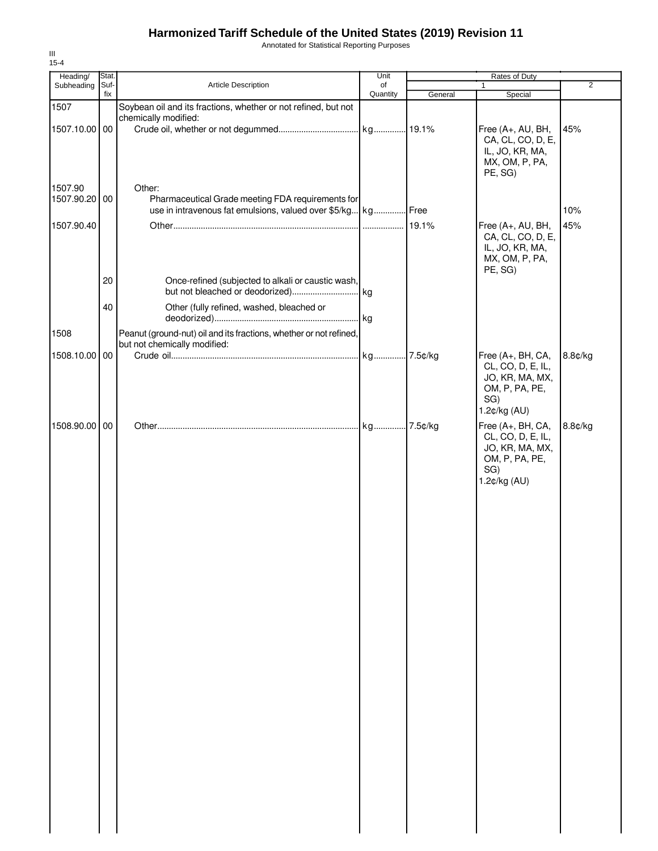Annotated for Statistical Reporting Purposes

| Heading/      | Stat.       |                                                                    | Unit           |         | Rates of Duty                                                                                      |                |
|---------------|-------------|--------------------------------------------------------------------|----------------|---------|----------------------------------------------------------------------------------------------------|----------------|
| Subheading    | Suf-<br>fix | Article Description                                                | of<br>Quantity |         | $\mathbf{1}$                                                                                       | $\overline{2}$ |
| 1507          |             | Soybean oil and its fractions, whether or not refined, but not     |                | General | Special                                                                                            |                |
|               |             | chemically modified:                                               |                |         |                                                                                                    |                |
| 1507.10.00 00 |             |                                                                    |                |         | Free (A+, AU, BH,<br>CA, CL, CO, D, E,<br>IL, JO, KR, MA,<br>MX, OM, P, PA,                        | 45%            |
|               |             |                                                                    |                |         | PE, SG)                                                                                            |                |
| 1507.90       |             | Other:                                                             |                |         |                                                                                                    |                |
| 1507.90.20    | 00          | Pharmaceutical Grade meeting FDA requirements for                  |                |         |                                                                                                    |                |
|               |             | use in intravenous fat emulsions, valued over \$5/kg kg Free       |                |         |                                                                                                    | 10%            |
| 1507.90.40    |             |                                                                    |                | 19.1%   | Free (A+, AU, BH,<br>CA, CL, CO, D, E,<br>IL, JO, KR, MA,<br>MX, OM, P, PA,<br>PE, SG)             | 45%            |
|               | 20          | Once-refined (subjected to alkali or caustic wash,                 |                |         |                                                                                                    |                |
|               | 40          | Other (fully refined, washed, bleached or                          |                |         |                                                                                                    |                |
| 1508          |             | Peanut (ground-nut) oil and its fractions, whether or not refined, |                |         |                                                                                                    |                |
|               |             | but not chemically modified:                                       |                |         |                                                                                                    |                |
| 1508.10.00    | $00\,$      |                                                                    |                |         | Free (A+, BH, CA,<br>CL, CO, D, E, IL,<br>JO, KR, MA, MX,<br>OM, P, PA, PE,<br>SG)<br>1.2¢/kg (AU) | 8.8¢/kg        |
| 1508.90.00    | 00          |                                                                    |                |         | Free (A+, BH, CA,                                                                                  | 8.8¢/kg        |
|               |             |                                                                    |                |         | CL, CO, D, E, IL,<br>JO, KR, MA, MX,<br>OM, P, PA, PE,<br>SG)<br>1.2¢/kg (AU)                      |                |
|               |             |                                                                    |                |         |                                                                                                    |                |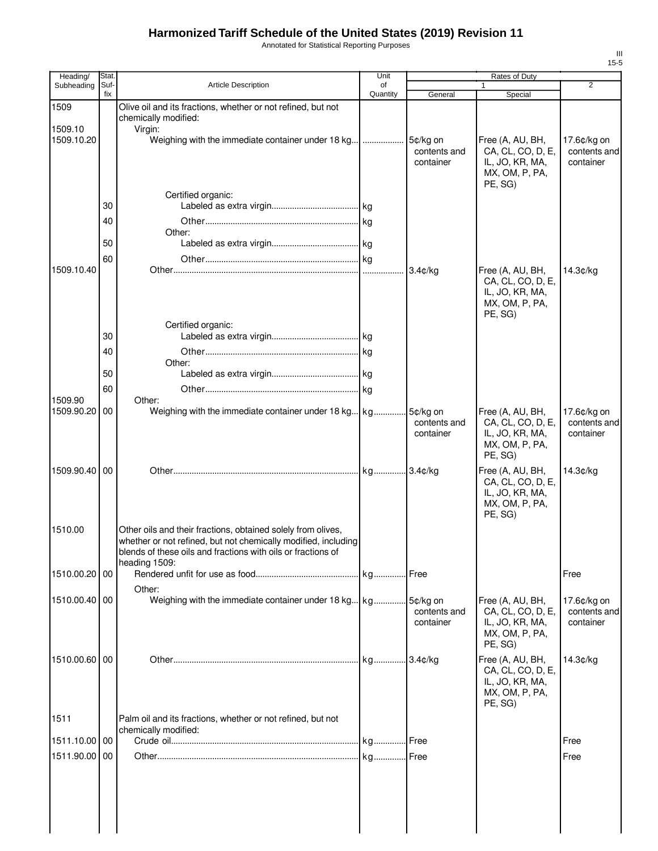Annotated for Statistical Reporting Purposes

| Heading/                 | Stat.       |                                                                | Unit           |              | Rates of Duty             |                |
|--------------------------|-------------|----------------------------------------------------------------|----------------|--------------|---------------------------|----------------|
| Subheading               | Suf-<br>fix | <b>Article Description</b>                                     | of<br>Quantity | General      | 1<br>Special              | $\overline{2}$ |
| 1509                     |             | Olive oil and its fractions, whether or not refined, but not   |                |              |                           |                |
|                          |             | chemically modified:                                           |                |              |                           |                |
| 1509.10<br>1509.10.20    |             | Virgin:<br>Weighing with the immediate container under 18 kg   | .              | 5¢/kg on     | Free (A, AU, BH,          | 17.6¢/kg on    |
|                          |             |                                                                |                | contents and | CA, CL, CO, D, E,         | contents and   |
|                          |             |                                                                |                | container    | IL, JO, KR, MA,           | container      |
|                          |             |                                                                |                |              | MX, OM, P, PA,<br>PE, SG) |                |
|                          |             | Certified organic:                                             |                |              |                           |                |
|                          | 30          |                                                                |                |              |                           |                |
|                          | 40          |                                                                |                |              |                           |                |
|                          |             | Other:                                                         |                |              |                           |                |
|                          | 50          |                                                                |                |              |                           |                |
| 1509.10.40               | 60          |                                                                |                | $3.4$ ¢/kg   | Free (A, AU, BH,          | 14.3¢/kg       |
|                          |             |                                                                |                |              | CA, CL, CO, D, E,         |                |
|                          |             |                                                                |                |              | IL, JO, KR, MA,           |                |
|                          |             |                                                                |                |              | MX, OM, P, PA,<br>PE, SG) |                |
|                          |             | Certified organic:                                             |                |              |                           |                |
|                          | 30          |                                                                |                |              |                           |                |
|                          | 40          |                                                                |                |              |                           |                |
|                          |             | Other:                                                         |                |              |                           |                |
|                          | 50          |                                                                |                |              |                           |                |
|                          | 60          |                                                                |                |              |                           |                |
| 1509.90<br>1509.90.20 00 |             | Other:<br>Weighing with the immediate container under 18 kg kg |                | 5¢/kg on     | Free (A, AU, BH,          | 17.6¢/kg on    |
|                          |             |                                                                |                | contents and | CA, CL, CO, D, E,         | contents and   |
|                          |             |                                                                |                | container    | IL, JO, KR, MA,           | container      |
|                          |             |                                                                |                |              | MX, OM, P, PA,<br>PE, SG) |                |
| 1509.90.40   00          |             |                                                                |                |              | Free (A, AU, BH,          | 14.3¢/kg       |
|                          |             |                                                                |                |              | CA, CL, CO, D, E,         |                |
|                          |             |                                                                |                |              | IL, JO, KR, MA,           |                |
|                          |             |                                                                |                |              | MX, OM, P, PA,<br>PE, SG) |                |
| 1510.00                  |             | Other oils and their fractions, obtained solely from olives,   |                |              |                           |                |
|                          |             | whether or not refined, but not chemically modified, including |                |              |                           |                |
|                          |             | blends of these oils and fractions with oils or fractions of   |                |              |                           |                |
| 1510.00.20 00            |             | heading 1509:                                                  |                |              |                           | Free           |
|                          |             |                                                                |                |              |                           |                |
| 1510.00.40 00            |             | Other:                                                         |                |              | Free (A, AU, BH,          | 17.6¢/kg on    |
|                          |             |                                                                |                | contents and | CA, CL, CO, D, E,         | contents and   |
|                          |             |                                                                |                | container    | IL, JO, KR, MA,           | container      |
|                          |             |                                                                |                |              | MX, OM, P, PA,<br>PE, SG) |                |
| 1510.00.60 00            |             |                                                                |                |              | Free (A, AU, BH,          | 14.3¢/kg       |
|                          |             |                                                                |                |              | CA, CL, CO, D, E,         |                |
|                          |             |                                                                |                |              | IL, JO, KR, MA,           |                |
|                          |             |                                                                |                |              | MX, OM, P, PA,<br>PE, SG) |                |
| 1511                     |             | Palm oil and its fractions, whether or not refined, but not    |                |              |                           |                |
|                          |             | chemically modified:                                           |                |              |                           |                |
| 1511.10.00 00            |             |                                                                |                |              |                           | Free           |
| 1511.90.00 00            |             |                                                                |                |              |                           | Free           |
|                          |             |                                                                |                |              |                           |                |
|                          |             |                                                                |                |              |                           |                |
|                          |             |                                                                |                |              |                           |                |
|                          |             |                                                                |                |              |                           |                |
|                          |             |                                                                |                |              |                           |                |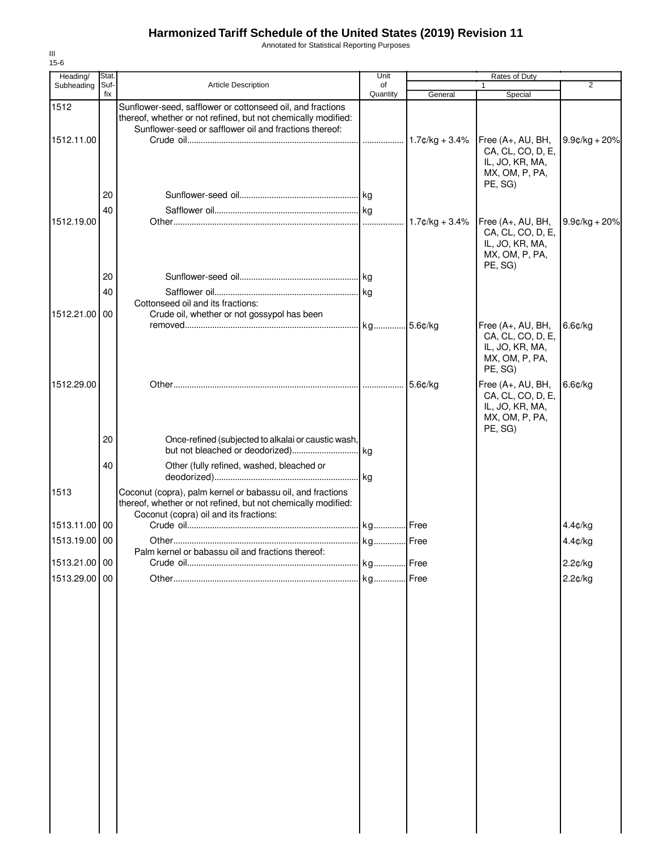Annotated for Statistical Reporting Purposes

| $15-6$        |             |                                                                                                                                                                       |                |                   |                                                                                        |                  |
|---------------|-------------|-----------------------------------------------------------------------------------------------------------------------------------------------------------------------|----------------|-------------------|----------------------------------------------------------------------------------------|------------------|
| Heading/      | Stat.       |                                                                                                                                                                       | Unit           |                   | Rates of Duty                                                                          |                  |
| Subheading    | Suf-<br>fix | Article Description                                                                                                                                                   | of<br>Quantity | General           | Special                                                                                | $\overline{2}$   |
| 1512          |             | Sunflower-seed, safflower or cottonseed oil, and fractions<br>thereof, whether or not refined, but not chemically modified:                                           |                |                   |                                                                                        |                  |
| 1512.11.00    |             | Sunflower-seed or safflower oil and fractions thereof:                                                                                                                |                |                   | Free (A+, AU, BH,<br>CA, CL, CO, D, E,<br>IL, JO, KR, MA,                              | $9.9¢/kg + 20%$  |
|               | 20<br>40    |                                                                                                                                                                       |                |                   | MX, OM, P, PA,<br>PE, SG)                                                              |                  |
| 1512.19.00    |             |                                                                                                                                                                       |                | $1.7$ ¢/kg + 3.4% | Free (A+, AU, BH,<br>CA, CL, CO, D, E,<br>IL, JO, KR, MA,<br>MX, OM, P, PA,<br>PE, SG) | $9.9$ ¢/kg + 20% |
|               | 20          |                                                                                                                                                                       |                |                   |                                                                                        |                  |
|               | 40          |                                                                                                                                                                       |                |                   |                                                                                        |                  |
|               |             | Cottonseed oil and its fractions:                                                                                                                                     |                |                   |                                                                                        |                  |
| 1512.21.00 00 |             | Crude oil, whether or not gossypol has been                                                                                                                           |                | 5.6¢/ka           | Free (A+, AU, BH,                                                                      | $6.6$ ¢/kg       |
|               |             |                                                                                                                                                                       |                |                   | CA, CL, CO, D, E,<br>IL, JO, KR, MA,<br>MX, OM, P, PA,<br>PE, SG)                      |                  |
| 1512.29.00    |             |                                                                                                                                                                       |                | 5.6¢/kg           | Free (A+, AU, BH,<br>CA, CL, CO, D, E,<br>IL, JO, KR, MA,<br>MX, OM, P, PA,<br>PE, SG) | 6.6¢/kg          |
|               | 20          | Once-refined (subjected to alkalai or caustic wash,                                                                                                                   |                |                   |                                                                                        |                  |
|               | 40          | Other (fully refined, washed, bleached or                                                                                                                             |                |                   |                                                                                        |                  |
| 1513          |             | Coconut (copra), palm kernel or babassu oil, and fractions<br>thereof, whether or not refined, but not chemically modified:<br>Coconut (copra) oil and its fractions: |                |                   |                                                                                        |                  |
| 1513.11.00 00 |             |                                                                                                                                                                       |                |                   |                                                                                        | 4.4¢/kg          |
| 1513.19.00 00 |             |                                                                                                                                                                       | kg.            | Free              |                                                                                        | 4.4¢/kg          |
|               |             | Palm kernel or babassu oil and fractions thereof:                                                                                                                     |                |                   |                                                                                        |                  |
| 1513.21.00 00 |             |                                                                                                                                                                       |                |                   |                                                                                        | 2.2¢/kg          |
| 1513.29.00 00 |             |                                                                                                                                                                       |                | Free              |                                                                                        | 2.2¢/kg          |
|               |             |                                                                                                                                                                       |                |                   |                                                                                        |                  |

III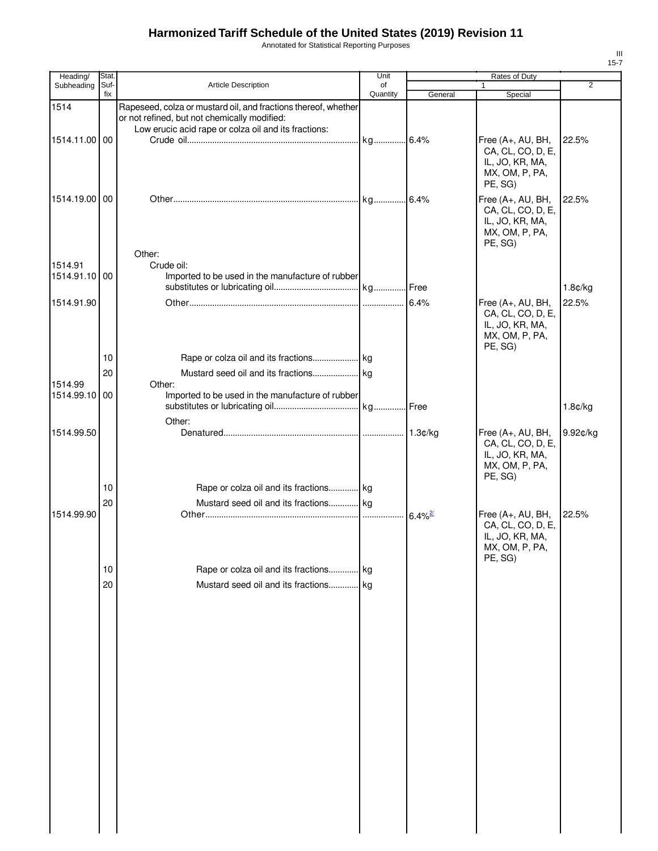Annotated for Statistical Reporting Purposes

| Heading/                 | Stat.       |                                                                                                                                                                        | Unit           |         | Rates of Duty                                                                          |                |
|--------------------------|-------------|------------------------------------------------------------------------------------------------------------------------------------------------------------------------|----------------|---------|----------------------------------------------------------------------------------------|----------------|
| Subheading               | Suf-<br>fix | Article Description                                                                                                                                                    | of<br>Quantity | General | Special                                                                                | $\overline{2}$ |
| 1514                     |             | Rapeseed, colza or mustard oil, and fractions thereof, whether<br>or not refined, but not chemically modified:<br>Low erucic acid rape or colza oil and its fractions: |                |         |                                                                                        |                |
| 1514.11.00 00            |             |                                                                                                                                                                        |                |         | Free (A+, AU, BH,<br>CA, CL, CO, D, E,<br>IL, JO, KR, MA,<br>MX, OM, P, PA,<br>PE, SG) | 22.5%          |
| 1514.19.00 00            |             |                                                                                                                                                                        |                |         | Free (A+, AU, BH,<br>CA, CL, CO, D, E,<br>IL, JO, KR, MA,<br>MX, OM, P, PA,<br>PE, SG) | 22.5%          |
| 1514.91<br>1514.91.10 00 |             | Other:<br>Crude oil:<br>Imported to be used in the manufacture of rubber                                                                                               |                |         |                                                                                        |                |
|                          |             |                                                                                                                                                                        |                |         |                                                                                        | 1.8¢/kg        |
| 1514.91.90               |             |                                                                                                                                                                        |                | 6.4%    | Free (A+, AU, BH,<br>CA, CL, CO, D, E,<br>IL, JO, KR, MA,<br>MX, OM, P, PA,<br>PE, SG) | 22.5%          |
|                          | 10          |                                                                                                                                                                        |                |         |                                                                                        |                |
|                          | 20          |                                                                                                                                                                        |                |         |                                                                                        |                |
| 1514.99<br>1514.99.10 00 |             | Other:<br>Imported to be used in the manufacture of rubber                                                                                                             |                |         |                                                                                        |                |
|                          |             | Other:                                                                                                                                                                 |                |         |                                                                                        | 1.8¢/kg        |
| 1514.99.50               |             |                                                                                                                                                                        |                |         | Free (A+, AU, BH,<br>CA, CL, CO, D, E,<br>IL, JO, KR, MA,<br>MX, OM, P, PA,<br>PE, SG) | 9.92¢/kg       |
|                          | 10          | Rape or colza oil and its fractions kg                                                                                                                                 |                |         |                                                                                        |                |
| 1514.99.90               | 20          | Mustard seed oil and its fractions kg                                                                                                                                  |                |         | Free (A+, AU, BH,<br>CA, CL, CO, D, E,<br>IL, JO, KR, MA,<br>MX, OM, P, PA,<br>PE, SG) | 22.5%          |
|                          | 10          | Rape or colza oil and its fractions kg                                                                                                                                 |                |         |                                                                                        |                |
|                          | 20          | Mustard seed oil and its fractions kg                                                                                                                                  |                |         |                                                                                        |                |
|                          |             |                                                                                                                                                                        |                |         |                                                                                        |                |
|                          |             |                                                                                                                                                                        |                |         |                                                                                        |                |
|                          |             |                                                                                                                                                                        |                |         |                                                                                        |                |
|                          |             |                                                                                                                                                                        |                |         |                                                                                        |                |
|                          |             |                                                                                                                                                                        |                |         |                                                                                        |                |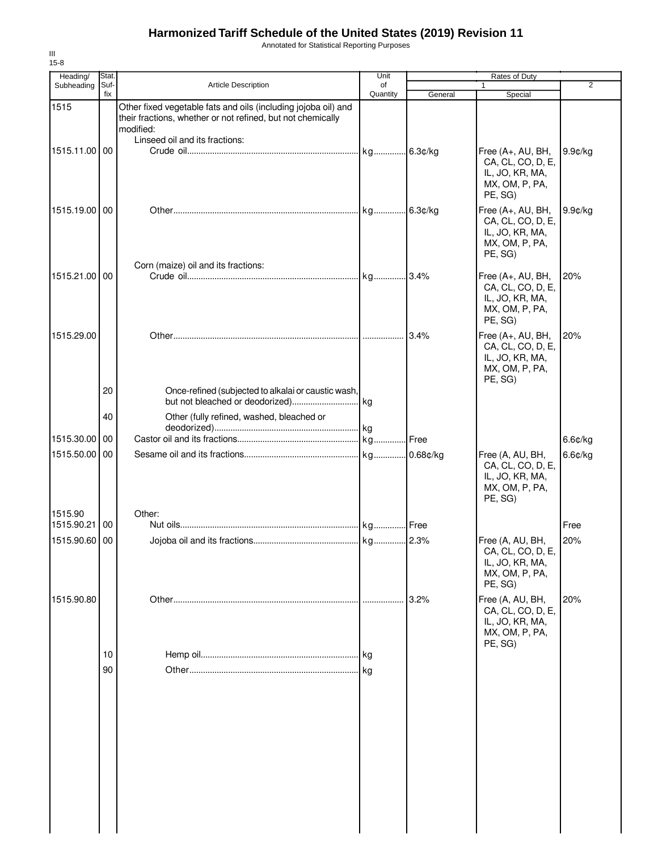Annotated for Statistical Reporting Purposes

| Heading/<br>Subheading   | Stat.<br>Suf- | Article Description                                                                                                                                                          | Unit<br>of |         | Rates of Duty                                                                          | $\overline{2}$ |
|--------------------------|---------------|------------------------------------------------------------------------------------------------------------------------------------------------------------------------------|------------|---------|----------------------------------------------------------------------------------------|----------------|
|                          | fix           |                                                                                                                                                                              | Quantity   | General | Special                                                                                |                |
| 1515                     |               | Other fixed vegetable fats and oils (including jojoba oil) and<br>their fractions, whether or not refined, but not chemically<br>modified:<br>Linseed oil and its fractions: |            |         |                                                                                        |                |
| 1515.11.00 00            |               |                                                                                                                                                                              |            |         | Free (A+, AU, BH,<br>CA, CL, CO, D, E,<br>IL, JO, KR, MA,<br>MX, OM, P, PA,<br>PE, SG) | $9.9$ c/kg     |
| 1515.19.00 00            |               |                                                                                                                                                                              |            |         | Free (A+, AU, BH,<br>CA, CL, CO, D, E,<br>IL, JO, KR, MA,<br>MX, OM, P, PA,<br>PE, SG) | $9.9$ ¢/kg     |
| 1515.21.00 00            |               | Corn (maize) oil and its fractions:                                                                                                                                          |            |         | Free (A+, AU, BH,<br>CA, CL, CO, D, E,<br>IL, JO, KR, MA,<br>MX, OM, P, PA,<br>PE, SG) | 20%            |
| 1515.29.00               | 20            | Once-refined (subjected to alkalai or caustic wash,                                                                                                                          |            |         | Free (A+, AU, BH,<br>CA, CL, CO, D, E,<br>IL, JO, KR, MA,<br>MX, OM, P, PA,<br>PE, SG) | 20%            |
|                          |               |                                                                                                                                                                              |            |         |                                                                                        |                |
|                          | 40            | Other (fully refined, washed, bleached or                                                                                                                                    |            |         |                                                                                        |                |
| 1515.30.00               | 00            |                                                                                                                                                                              |            |         |                                                                                        | 6.6¢/kg        |
| 1515.50.00 00            |               |                                                                                                                                                                              |            |         | Free (A, AU, BH,<br>CA, CL, CO, D, E,<br>IL, JO, KR, MA,<br>MX, OM, P, PA,<br>PE, SG)  | $6.6$ ¢/kg     |
| 1515.90<br>1515.90.21 00 |               | Other:                                                                                                                                                                       |            |         |                                                                                        | Free           |
| 1515.90.60 00            |               |                                                                                                                                                                              | kg 2.3%    |         | Free (A, AU, BH,<br>CA, CL, CO, D, E,<br>IL, JO, KR, MA,<br>MX, OM, P, PA,<br>PE, SG)  | 20%            |
| 1515.90.80               |               |                                                                                                                                                                              |            | 3.2%    | Free (A, AU, BH,<br>CA, CL, CO, D, E,<br>IL, JO, KR, MA,<br>MX, OM, P, PA,<br>PE, SG)  | 20%            |
|                          | 10            |                                                                                                                                                                              | kg         |         |                                                                                        |                |
|                          | 90            |                                                                                                                                                                              |            |         |                                                                                        |                |
|                          |               |                                                                                                                                                                              |            |         |                                                                                        |                |
|                          |               |                                                                                                                                                                              |            |         |                                                                                        |                |
|                          |               |                                                                                                                                                                              |            |         |                                                                                        |                |

III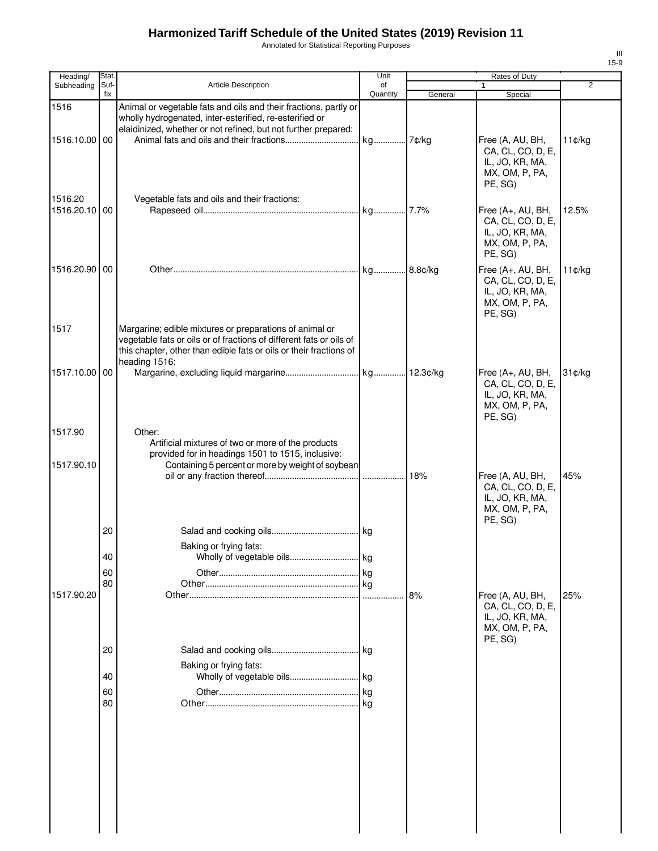Annotated for Statistical Reporting Purposes

| Heading/                 | Stat.       |                                                                                                                                                                                                                       | Unit           |         | Rates of Duty                                                                          |                |
|--------------------------|-------------|-----------------------------------------------------------------------------------------------------------------------------------------------------------------------------------------------------------------------|----------------|---------|----------------------------------------------------------------------------------------|----------------|
| Subheading               | Suf-<br>fix | <b>Article Description</b>                                                                                                                                                                                            | of<br>Quantity | General | $\mathbf{1}$<br>Special                                                                | $\overline{2}$ |
| 1516                     |             | Animal or vegetable fats and oils and their fractions, partly or<br>wholly hydrogenated, inter-esterified, re-esterified or<br>elaidinized, whether or not refined, but not further prepared:                         |                |         |                                                                                        |                |
| 1516.10.00 00            |             |                                                                                                                                                                                                                       |                |         | Free (A, AU, BH,<br>CA, CL, CO, D, E,<br>IL, JO, KR, MA,<br>MX, OM, P, PA,<br>PE, SG)  | 11¢/kg         |
| 1516.20<br>1516.20.10 00 |             | Vegetable fats and oils and their fractions:                                                                                                                                                                          |                |         | Free (A+, AU, BH,<br>CA, CL, CO, D, E,<br>IL, JO, KR, MA,<br>MX, OM, P, PA,<br>PE, SG) | 12.5%          |
| 1516.20.90 00            |             |                                                                                                                                                                                                                       |                |         | Free (A+, AU, BH,<br>CA, CL, CO, D, E,<br>IL, JO, KR, MA,<br>MX, OM, P, PA,<br>PE, SG) | 11¢/kg         |
| 1517                     |             | Margarine; edible mixtures or preparations of animal or<br>vegetable fats or oils or of fractions of different fats or oils of<br>this chapter, other than edible fats or oils or their fractions of<br>heading 1516: |                |         |                                                                                        |                |
| 1517.10.00 00            |             |                                                                                                                                                                                                                       |                |         | Free (A+, AU, BH,<br>CA, CL, CO, D, E,<br>IL, JO, KR, MA,<br>MX, OM, P, PA,<br>PE, SG) | 31¢/kg         |
| 1517.90                  |             | Other:<br>Artificial mixtures of two or more of the products<br>provided for in headings 1501 to 1515, inclusive:                                                                                                     |                |         |                                                                                        |                |
| 1517.90.10               |             | Containing 5 percent or more by weight of soybean                                                                                                                                                                     |                | 18%     | Free (A, AU, BH,<br>CA, CL, CO, D, E,<br>IL, JO, KR, MA,<br>MX, OM, P, PA,<br>PE, SG)  | 45%            |
|                          | 20          | Baking or frying fats:                                                                                                                                                                                                |                |         |                                                                                        |                |
|                          | 40          |                                                                                                                                                                                                                       |                |         |                                                                                        |                |
|                          | 60          |                                                                                                                                                                                                                       |                |         |                                                                                        |                |
| 1517.90.20               | 80          |                                                                                                                                                                                                                       |                | 8%      | Free (A, AU, BH,<br>CA, CL, CO, D, E,<br>IL, JO, KR, MA,<br>MX, OM, P, PA,             | 25%            |
|                          | 20          |                                                                                                                                                                                                                       |                |         | PE, SG)                                                                                |                |
|                          | 40          | Baking or frying fats:                                                                                                                                                                                                |                |         |                                                                                        |                |
|                          | 60          |                                                                                                                                                                                                                       |                |         |                                                                                        |                |
|                          | 80          |                                                                                                                                                                                                                       | l kg           |         |                                                                                        |                |
|                          |             |                                                                                                                                                                                                                       |                |         |                                                                                        |                |
|                          |             |                                                                                                                                                                                                                       |                |         |                                                                                        |                |
|                          |             |                                                                                                                                                                                                                       |                |         |                                                                                        |                |
|                          |             |                                                                                                                                                                                                                       |                |         |                                                                                        |                |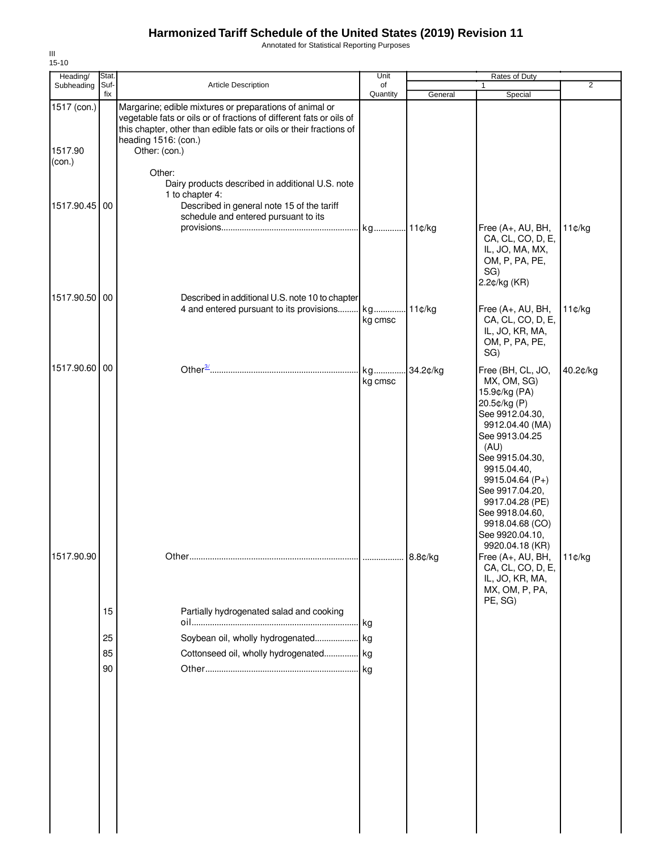Annotated for Statistical Reporting Purposes

| Heading/                         | Stat.                |                                                                                                                                                                                                                                               | Unit                   |          | <b>Rates of Duty</b>                                                                                                                                                                                                                                                                  |                |
|----------------------------------|----------------------|-----------------------------------------------------------------------------------------------------------------------------------------------------------------------------------------------------------------------------------------------|------------------------|----------|---------------------------------------------------------------------------------------------------------------------------------------------------------------------------------------------------------------------------------------------------------------------------------------|----------------|
| Subheading                       | Suf-<br>fix          | Article Description                                                                                                                                                                                                                           | of<br>Quantity         | General  | $\mathbf{1}$<br>Special                                                                                                                                                                                                                                                               | $\overline{2}$ |
| 1517 (con.)<br>1517.90<br>(con.) |                      | Margarine; edible mixtures or preparations of animal or<br>vegetable fats or oils or of fractions of different fats or oils of<br>this chapter, other than edible fats or oils or their fractions of<br>heading 1516: (con.)<br>Other: (con.) |                        |          |                                                                                                                                                                                                                                                                                       |                |
|                                  |                      | Other:<br>Dairy products described in additional U.S. note<br>1 to chapter 4:                                                                                                                                                                 |                        |          |                                                                                                                                                                                                                                                                                       |                |
| 1517.90.45                       | 00                   | Described in general note 15 of the tariff<br>schedule and entered pursuant to its                                                                                                                                                            | kg                     | 11¢/kg   | Free (A+, AU, BH,<br>CA, CL, CO, D, E,<br>IL, JO, MA, MX,<br>OM, P, PA, PE,<br>SG)                                                                                                                                                                                                    | 11¢/kg         |
| 1517.90.50 00                    |                      | Described in additional U.S. note 10 to chapter                                                                                                                                                                                               |                        |          | 2.2¢/kg (KR)                                                                                                                                                                                                                                                                          |                |
|                                  |                      | 4 and entered pursuant to its provisions                                                                                                                                                                                                      | kg<br>kg cmsc          | 11¢/kg   | Free (A+, AU, BH,<br>CA, CL, CO, D, E,<br>IL, JO, KR, MA,<br>OM, P, PA, PE,<br>SG)                                                                                                                                                                                                    | 11¢/kg         |
| 1517.90.60 00                    |                      |                                                                                                                                                                                                                                               | kg<br>kg cmsc          | 34.2¢/kg | Free (BH, CL, JO,<br>MX, OM, SG)<br>15.9¢/kg (PA)<br>20.5¢/kg (P)<br>See 9912.04.30,<br>9912.04.40 (MA)<br>See 9913.04.25<br>(AU)<br>See 9915.04.30,<br>9915.04.40,<br>9915.04.64 (P+)<br>See 9917.04.20,<br>9917.04.28 (PE)<br>See 9918.04.60,<br>9918.04.68 (CO)<br>See 9920.04.10, | 40.2¢/kg       |
| 1517.90.90                       | 15<br>25<br>85<br>90 | Partially hydrogenated salad and cooking<br>Soybean oil, wholly hydrogenated<br>Cottonseed oil, wholly hydrogenated                                                                                                                           | . kg<br>kg<br>kg<br>kg | 8.8¢/kg  | 9920.04.18 (KR)<br>Free (A+, AU, BH,<br>CA, CL, CO, D, E,<br>IL, JO, KR, MA,<br>MX, OM, P, PA,<br>PE, SG)                                                                                                                                                                             | 11¢/kg         |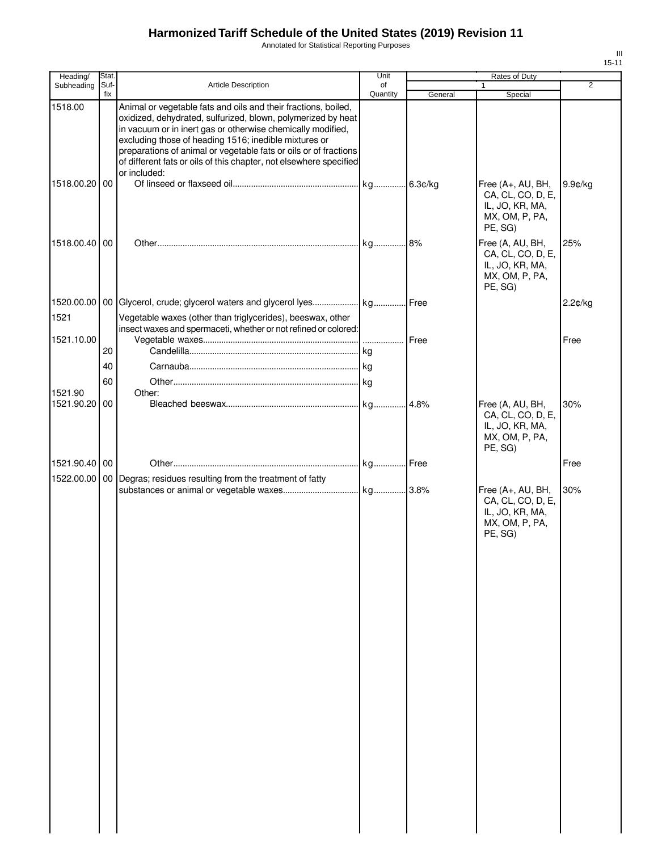Annotated for Statistical Reporting Purposes

| Heading/              | Stat.       |                                                                                                                                                                                                                                                                                                                                                                                                                  | Unit           |         | Rates of Duty                                                                          |                |
|-----------------------|-------------|------------------------------------------------------------------------------------------------------------------------------------------------------------------------------------------------------------------------------------------------------------------------------------------------------------------------------------------------------------------------------------------------------------------|----------------|---------|----------------------------------------------------------------------------------------|----------------|
| Subheading            | Suf-<br>fix | Article Description                                                                                                                                                                                                                                                                                                                                                                                              | of<br>Quantity | General | 1<br>Special                                                                           | $\overline{2}$ |
| 1518.00               |             | Animal or vegetable fats and oils and their fractions, boiled,<br>oxidized, dehydrated, sulfurized, blown, polymerized by heat<br>in vacuum or in inert gas or otherwise chemically modified,<br>excluding those of heading 1516; inedible mixtures or<br>preparations of animal or vegetable fats or oils or of fractions<br>of different fats or oils of this chapter, not elsewhere specified<br>or included: |                |         |                                                                                        |                |
| 1518.00.20 00         |             |                                                                                                                                                                                                                                                                                                                                                                                                                  |                |         | Free (A+, AU, BH,<br>CA, CL, CO, D, E,<br>IL, JO, KR, MA,<br>MX, OM, P, PA,<br>PE, SG) | $9.9$ ¢/kg     |
| 1518.00.40 00         |             |                                                                                                                                                                                                                                                                                                                                                                                                                  |                |         | Free (A, AU, BH,<br>CA, CL, CO, D, E,<br>IL, JO, KR, MA,<br>MX, OM, P, PA,<br>PE, SG)  | 25%            |
| 1521                  |             | Vegetable waxes (other than triglycerides), beeswax, other                                                                                                                                                                                                                                                                                                                                                       |                |         |                                                                                        | $2.2$ ¢/kg     |
| 1521.10.00            |             | insect waxes and spermaceti, whether or not refined or colored:                                                                                                                                                                                                                                                                                                                                                  |                | Free    |                                                                                        | Free           |
|                       | 20          |                                                                                                                                                                                                                                                                                                                                                                                                                  |                |         |                                                                                        |                |
|                       | 40          |                                                                                                                                                                                                                                                                                                                                                                                                                  |                |         |                                                                                        |                |
|                       | 60          |                                                                                                                                                                                                                                                                                                                                                                                                                  |                |         |                                                                                        |                |
| 1521.90<br>1521.90.20 | 00          | Other:                                                                                                                                                                                                                                                                                                                                                                                                           |                | .4.8%   |                                                                                        | 30%            |
|                       |             |                                                                                                                                                                                                                                                                                                                                                                                                                  |                |         | Free (A, AU, BH,<br>CA, CL, CO, D, E,<br>IL, JO, KR, MA,<br>MX, OM, P, PA,<br>PE, SG)  |                |
| 1521.90.40 00         |             |                                                                                                                                                                                                                                                                                                                                                                                                                  |                |         |                                                                                        | Free           |
| 1522.00.00            |             | 00 Degras; residues resulting from the treatment of fatty                                                                                                                                                                                                                                                                                                                                                        |                |         |                                                                                        |                |
|                       |             |                                                                                                                                                                                                                                                                                                                                                                                                                  |                |         | Free (A+, AU, BH,<br>CA, CL, CO, D, E,<br>IL, JO, KR, MA,<br>MX, OM, P, PA,<br>PE, SG) | 30%            |